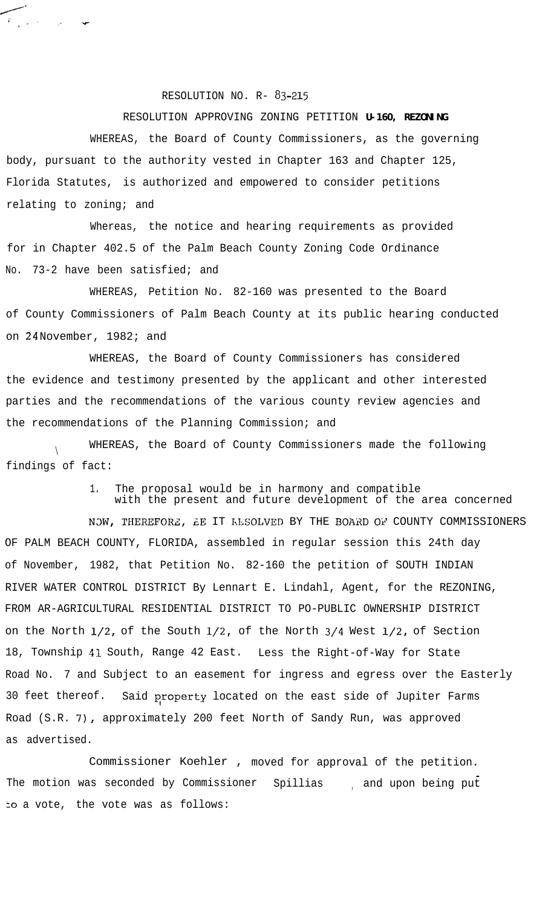## RESOLUTION NO. R- 83-215

 $\overbrace{r_{\alpha}}$ 

RESOLUTION APPROVING ZONING PETITION **U-160, REZONING** WHEREAS, the Board of County Commissioners, as the governing body, pursuant to the authority vested in Chapter 163 and Chapter 125, Florida Statutes, is authorized and empowered to consider petitions relating to zoning; and

Whereas, the notice and hearing requirements as provided for in Chapter 402.5 of the Palm Beach County Zoning Code Ordinance No. 73-2 have been satisfied; and

WHEREAS, Petition No. 82-160 was presented to the Board of County Commissioners of Palm Beach County at its public hearing conducted on 24 November, 1982; and

WHEREAS, the Board of County Commissioners has considered the evidence and testimony presented by the applicant and other interested parties and the recommendations of the various county review agencies and the recommendations of the Planning Commission; and

 $\setminus$ WHEREAS, the Board of County Commissioners made the following findings of fact:

1. The proposal would be in harmony and compatible

with the present and future development of the area concerned

NOW, THEREFORE, EE IT KESOLVED BY THE BOARD OF COUNTY COMMISSIONERS OF PALM BEACH COUNTY, FLORIDA, assembled in regular session this 24th day of November, 1982, that Petition No. 82-160 the petition of SOUTH INDIAN RIVER WATER CONTROL DISTRICT By Lennart E. Lindahl, Agent, for the REZONING, FROM AR-AGRICULTURAL RESIDENTIAL DISTRICT TO PO-PUBLIC OWNERSHIP DISTRICT on the North l/2, of the South l/2, of the North 3/4 West l/2, of Section 18, Township 41 South, Range 42 East. Less the Right-of-Way for State Road No. 7 and Subject to an easement for ingress and egress over the Easterly 30 feet thereof. Said property located on the east side of Jupiter Farms Road (S.R. 7), approximately 200 feet North of Sandy Run, was approved as advertised.

Commissioner Koehler , moved for approval of the petition. The motion was seconded by Commissioner Spillias , and upon being put to a vote, the vote was as follows: